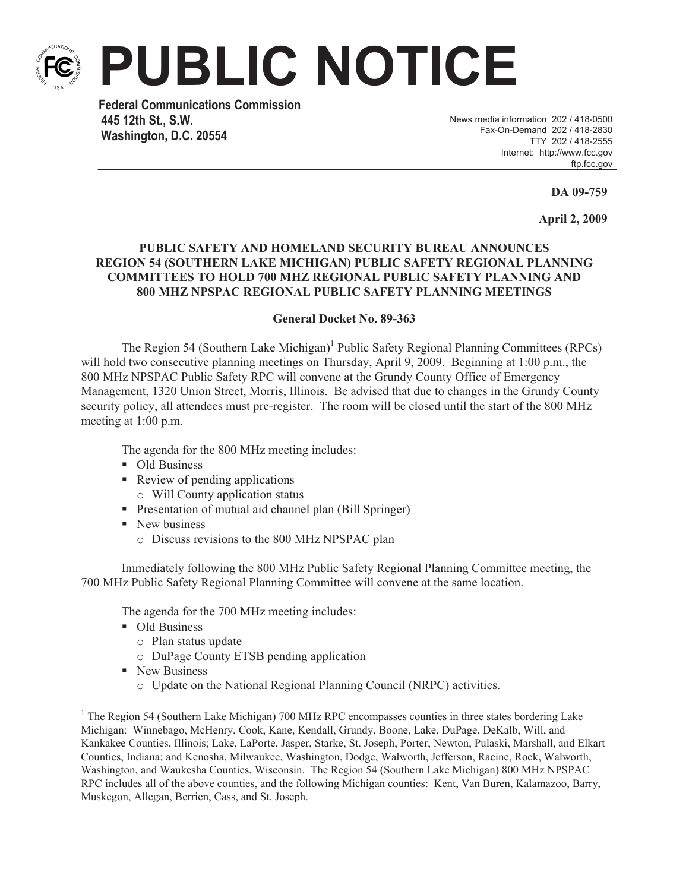

**PUBLIC NOTICE**

**Federal Communications Commission 445 12th St., S.W. Washington, D.C. 20554**

News media information 202 / 418-0500 Fax-On-Demand 202 / 418-2830 TTY 202 / 418-2555 Internet: http://www.fcc.gov ftp.fcc.gov

**DA 09-759**

**April 2, 2009**

## **PUBLIC SAFETY AND HOMELAND SECURITY BUREAU ANNOUNCES REGION 54 (SOUTHERN LAKE MICHIGAN) PUBLIC SAFETY REGIONAL PLANNING COMMITTEES TO HOLD 700 MHZ REGIONAL PUBLIC SAFETY PLANNING AND 800 MHZ NPSPAC REGIONAL PUBLIC SAFETY PLANNING MEETINGS**

## **General Docket No. 89-363**

The Region 54 (Southern Lake Michigan)<sup>1</sup> Public Safety Regional Planning Committees (RPCs) will hold two consecutive planning meetings on Thursday, April 9, 2009. Beginning at 1:00 p.m., the 800 MHz NPSPAC Public Safety RPC will convene at the Grundy County Office of Emergency Management, 1320 Union Street, Morris, Illinois. Be advised that due to changes in the Grundy County security policy, all attendees must pre-register. The room will be closed until the start of the 800 MHz meeting at 1:00 p.m.

The agenda for the 800 MHz meeting includes:

- Old Business
- Review of pending applications
	- o Will County application status
- Presentation of mutual aid channel plan (Bill Springer)
- New business
	- o Discuss revisions to the 800 MHz NPSPAC plan

Immediately following the 800 MHz Public Safety Regional Planning Committee meeting, the 700 MHz Public Safety Regional Planning Committee will convene at the same location.

The agenda for the 700 MHz meeting includes:

- Old Business
	- o Plan status update
	- o DuPage County ETSB pending application
- New Business
	- o Update on the National Regional Planning Council (NRPC) activities.

<sup>&</sup>lt;sup>1</sup> The Region 54 (Southern Lake Michigan) 700 MHz RPC encompasses counties in three states bordering Lake Michigan: Winnebago, McHenry, Cook, Kane, Kendall, Grundy, Boone, Lake, DuPage, DeKalb, Will, and Kankakee Counties, Illinois; Lake, LaPorte, Jasper, Starke, St. Joseph, Porter, Newton, Pulaski, Marshall, and Elkart Counties, Indiana; and Kenosha, Milwaukee, Washington, Dodge, Walworth, Jefferson, Racine, Rock, Walworth, Washington, and Waukesha Counties, Wisconsin. The Region 54 (Southern Lake Michigan) 800 MHz NPSPAC RPC includes all of the above counties, and the following Michigan counties: Kent, Van Buren, Kalamazoo, Barry, Muskegon, Allegan, Berrien, Cass, and St. Joseph.